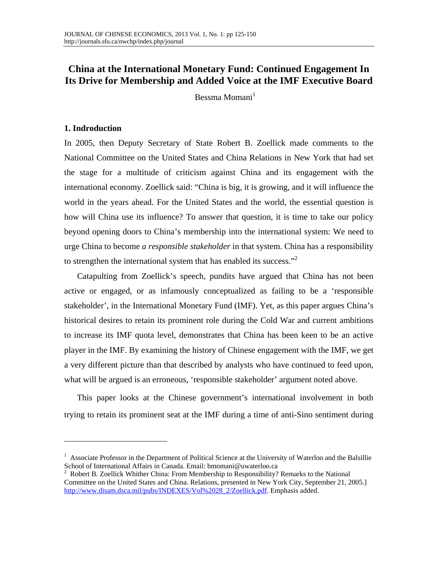## **China at the International Monetary Fund: Continued Engagement In Its Drive for Membership and Added Voice at the IMF Executive Board**

Bessma Momani $<sup>1</sup>$ </sup>

### **1. Indroduction**

In 2005, then Deputy Secretary of State Robert B. Zoellick made comments to the National Committee on the United States and China Relations in New York that had set the stage for a multitude of criticism against China and its engagement with the international economy. Zoellick said: "China is big, it is growing, and it will influence the world in the years ahead. For the United States and the world, the essential question is how will China use its influence? To answer that question, it is time to take our policy beyond opening doors to China's membership into the international system: We need to urge China to become *a responsible stakeholder* in that system. China has a responsibility to strengthen the international system that has enabled its success."<sup>2</sup>

Catapulting from Zoellick's speech, pundits have argued that China has not been active or engaged, or as infamously conceptualized as failing to be a 'responsible stakeholder', in the International Monetary Fund (IMF). Yet, as this paper argues China's historical desires to retain its prominent role during the Cold War and current ambitions to increase its IMF quota level, demonstrates that China has been keen to be an active player in the IMF. By examining the history of Chinese engagement with the IMF, we get a very different picture than that described by analysts who have continued to feed upon, what will be argued is an erroneous, 'responsible stakeholder' argument noted above.

This paper looks at the Chinese government's international involvement in both trying to retain its prominent seat at the IMF during a time of anti-Sino sentiment during

<sup>&</sup>lt;sup>1</sup> Associate Professor in the Department of Political Science at the University of Waterloo and the Balsillie School of International Affairs in Canada. Email: bmomani@uwaterloo.ca<br><sup>2</sup> Robert B. Zoellick Whither China: From Membership to Responsibility? Remarks to the National

Committee on the United States and China. Relations, presented in New York City, September 21, 2005.] http://www.disam.dsca.mil/pubs/INDEXES/Vol%2028\_2/Zoellick.pdf. Emphasis added.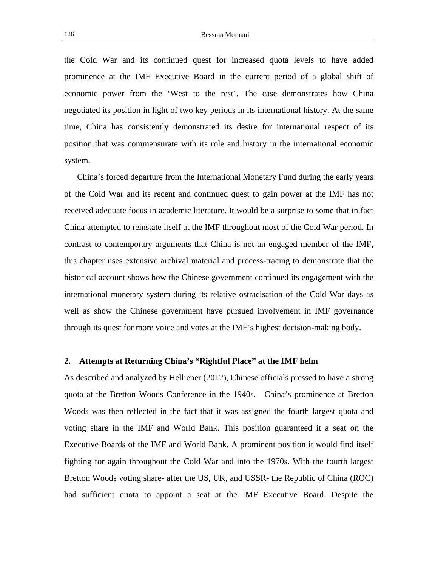the Cold War and its continued quest for increased quota levels to have added prominence at the IMF Executive Board in the current period of a global shift of economic power from the 'West to the rest'. The case demonstrates how China negotiated its position in light of two key periods in its international history. At the same time, China has consistently demonstrated its desire for international respect of its position that was commensurate with its role and history in the international economic system.

China's forced departure from the International Monetary Fund during the early years of the Cold War and its recent and continued quest to gain power at the IMF has not received adequate focus in academic literature. It would be a surprise to some that in fact China attempted to reinstate itself at the IMF throughout most of the Cold War period. In contrast to contemporary arguments that China is not an engaged member of the IMF, this chapter uses extensive archival material and process-tracing to demonstrate that the historical account shows how the Chinese government continued its engagement with the international monetary system during its relative ostracisation of the Cold War days as well as show the Chinese government have pursued involvement in IMF governance through its quest for more voice and votes at the IMF's highest decision-making body.

#### **2. Attempts at Returning China's "Rightful Place" at the IMF helm**

As described and analyzed by Helliener (2012), Chinese officials pressed to have a strong quota at the Bretton Woods Conference in the 1940s. China's prominence at Bretton Woods was then reflected in the fact that it was assigned the fourth largest quota and voting share in the IMF and World Bank. This position guaranteed it a seat on the Executive Boards of the IMF and World Bank. A prominent position it would find itself fighting for again throughout the Cold War and into the 1970s. With the fourth largest Bretton Woods voting share- after the US, UK, and USSR- the Republic of China (ROC) had sufficient quota to appoint a seat at the IMF Executive Board. Despite the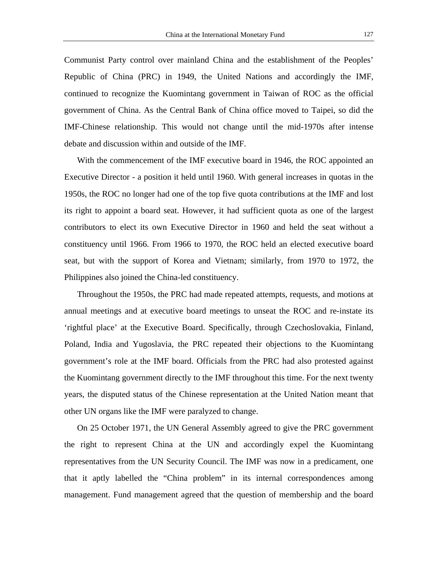Communist Party control over mainland China and the establishment of the Peoples' Republic of China (PRC) in 1949, the United Nations and accordingly the IMF, continued to recognize the Kuomintang government in Taiwan of ROC as the official government of China. As the Central Bank of China office moved to Taipei, so did the IMF-Chinese relationship. This would not change until the mid-1970s after intense debate and discussion within and outside of the IMF.

With the commencement of the IMF executive board in 1946, the ROC appointed an Executive Director - a position it held until 1960. With general increases in quotas in the 1950s, the ROC no longer had one of the top five quota contributions at the IMF and lost its right to appoint a board seat. However, it had sufficient quota as one of the largest contributors to elect its own Executive Director in 1960 and held the seat without a constituency until 1966. From 1966 to 1970, the ROC held an elected executive board seat, but with the support of Korea and Vietnam; similarly, from 1970 to 1972, the Philippines also joined the China-led constituency.

Throughout the 1950s, the PRC had made repeated attempts, requests, and motions at annual meetings and at executive board meetings to unseat the ROC and re-instate its 'rightful place' at the Executive Board. Specifically, through Czechoslovakia, Finland, Poland, India and Yugoslavia, the PRC repeated their objections to the Kuomintang government's role at the IMF board. Officials from the PRC had also protested against the Kuomintang government directly to the IMF throughout this time. For the next twenty years, the disputed status of the Chinese representation at the United Nation meant that other UN organs like the IMF were paralyzed to change.

On 25 October 1971, the UN General Assembly agreed to give the PRC government the right to represent China at the UN and accordingly expel the Kuomintang representatives from the UN Security Council. The IMF was now in a predicament, one that it aptly labelled the "China problem" in its internal correspondences among management. Fund management agreed that the question of membership and the board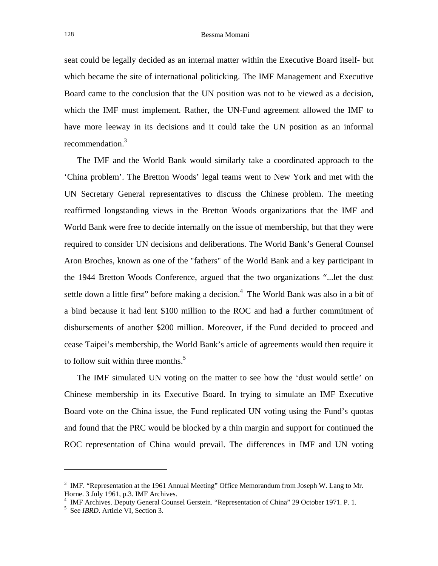seat could be legally decided as an internal matter within the Executive Board itself- but which became the site of international politicking. The IMF Management and Executive Board came to the conclusion that the UN position was not to be viewed as a decision, which the IMF must implement. Rather, the UN-Fund agreement allowed the IMF to have more leeway in its decisions and it could take the UN position as an informal recommendation.<sup>3</sup>

The IMF and the World Bank would similarly take a coordinated approach to the 'China problem'. The Bretton Woods' legal teams went to New York and met with the UN Secretary General representatives to discuss the Chinese problem. The meeting reaffirmed longstanding views in the Bretton Woods organizations that the IMF and World Bank were free to decide internally on the issue of membership, but that they were required to consider UN decisions and deliberations. The World Bank's General Counsel Aron Broches, known as one of the "fathers" of the World Bank and a key participant in the 1944 Bretton Woods Conference, argued that the two organizations "...let the dust settle down a little first" before making a decision.<sup>4</sup> The World Bank was also in a bit of a bind because it had lent \$100 million to the ROC and had a further commitment of disbursements of another \$200 million. Moreover, if the Fund decided to proceed and cease Taipei's membership, the World Bank's article of agreements would then require it to follow suit within three months.<sup>5</sup>

The IMF simulated UN voting on the matter to see how the 'dust would settle' on Chinese membership in its Executive Board. In trying to simulate an IMF Executive Board vote on the China issue, the Fund replicated UN voting using the Fund's quotas and found that the PRC would be blocked by a thin margin and support for continued the ROC representation of China would prevail. The differences in IMF and UN voting

<sup>&</sup>lt;sup>3</sup> IMF. "Representation at the 1961 Annual Meeting" Office Memorandum from Joseph W. Lang to Mr. Horne. 3 July 1961, p.3. IMF Archives.

<sup>&</sup>lt;sup>4</sup> IMF Archives. Deputy General Counsel Gerstein. "Representation of China" 29 October 1971. P. 1.  $\frac{5}{5}$  See IBBD. Article VI. Section 3

<sup>&</sup>lt;sup>5</sup> See *IBRD*. Article VI, Section 3.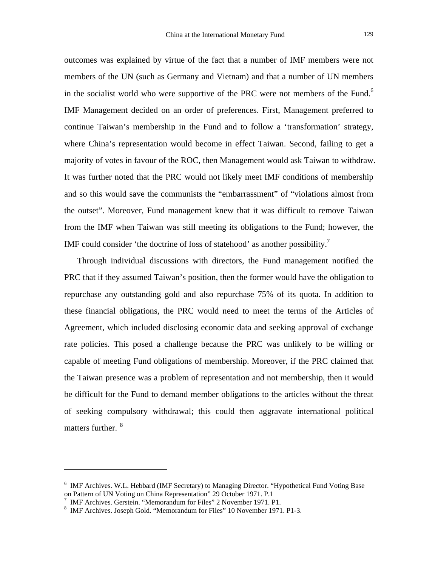outcomes was explained by virtue of the fact that a number of IMF members were not members of the UN (such as Germany and Vietnam) and that a number of UN members in the socialist world who were supportive of the PRC were not members of the Fund.<sup>6</sup> IMF Management decided on an order of preferences. First, Management preferred to continue Taiwan's membership in the Fund and to follow a 'transformation' strategy, where China's representation would become in effect Taiwan. Second, failing to get a majority of votes in favour of the ROC, then Management would ask Taiwan to withdraw. It was further noted that the PRC would not likely meet IMF conditions of membership and so this would save the communists the "embarrassment" of "violations almost from the outset". Moreover, Fund management knew that it was difficult to remove Taiwan from the IMF when Taiwan was still meeting its obligations to the Fund; however, the IMF could consider 'the doctrine of loss of statehood' as another possibility.<sup>7</sup>

Through individual discussions with directors, the Fund management notified the PRC that if they assumed Taiwan's position, then the former would have the obligation to repurchase any outstanding gold and also repurchase 75% of its quota. In addition to these financial obligations, the PRC would need to meet the terms of the Articles of Agreement, which included disclosing economic data and seeking approval of exchange rate policies. This posed a challenge because the PRC was unlikely to be willing or capable of meeting Fund obligations of membership. Moreover, if the PRC claimed that the Taiwan presence was a problem of representation and not membership, then it would be difficult for the Fund to demand member obligations to the articles without the threat of seeking compulsory withdrawal; this could then aggravate international political matters further. <sup>8</sup>

<sup>&</sup>lt;sup>6</sup> IMF Archives. W.L. Hebbard (IMF Secretary) to Managing Director. "Hypothetical Fund Voting Base on Pattern of UN Voting on China Representation" 29 October 1971. P.1

<sup>&</sup>lt;sup>7</sup> IMF Archives. Gerstein. "Memorandum for Files" 2 November 1971. P1.<br><sup>8</sup> IMF Archives. Joseph Gold. "Memorandum for Files" 10 November 1971.

<sup>&</sup>lt;sup>8</sup> IMF Archives. Joseph Gold. "Memorandum for Files" 10 November 1971. P1-3.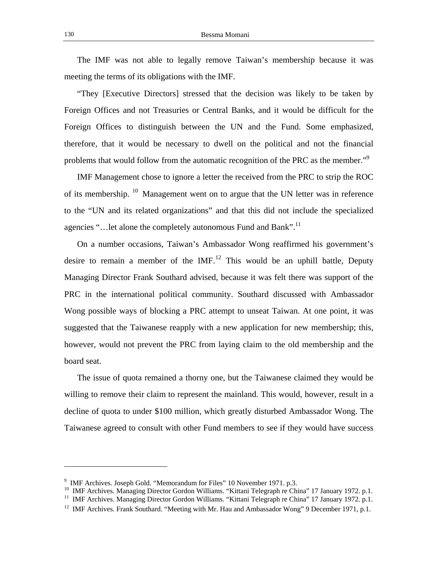The IMF was not able to legally remove Taiwan's membership because it was meeting the terms of its obligations with the IMF.

"They [Executive Directors] stressed that the decision was likely to be taken by Foreign Offices and not Treasuries or Central Banks, and it would be difficult for the Foreign Offices to distinguish between the UN and the Fund. Some emphasized, therefore, that it would be necessary to dwell on the political and not the financial problems that would follow from the automatic recognition of the PRC as the member."<sup>9</sup>

IMF Management chose to ignore a letter the received from the PRC to strip the ROC of its membership. <sup>10</sup> Management went on to argue that the UN letter was in reference to the "UN and its related organizations" and that this did not include the specialized agencies "... let alone the completely autonomous Fund and Bank".<sup>11</sup>

On a number occasions, Taiwan's Ambassador Wong reaffirmed his government's desire to remain a member of the  $IMF<sup>12</sup>$ . This would be an uphill battle, Deputy Managing Director Frank Southard advised, because it was felt there was support of the PRC in the international political community. Southard discussed with Ambassador Wong possible ways of blocking a PRC attempt to unseat Taiwan. At one point, it was suggested that the Taiwanese reapply with a new application for new membership; this, however, would not prevent the PRC from laying claim to the old membership and the board seat.

The issue of quota remained a thorny one, but the Taiwanese claimed they would be willing to remove their claim to represent the mainland. This would, however, result in a decline of quota to under \$100 million, which greatly disturbed Ambassador Wong. The Taiwanese agreed to consult with other Fund members to see if they would have success

<sup>&</sup>lt;sup>9</sup> IMF Archives. Joseph Gold. "Memorandum for Files" 10 November 1971. p.3.

<sup>&</sup>lt;sup>10</sup> IMF Archives. Managing Director Gordon Williams. "Kittani Telegraph re China" 17 January 1972. p.1.<br><sup>11</sup> IMF Archives. Managing Director Gordon Williams. "Kittani Telegraph re China" 17 January 1972. p.1.<br><sup>12</sup> IMF Arc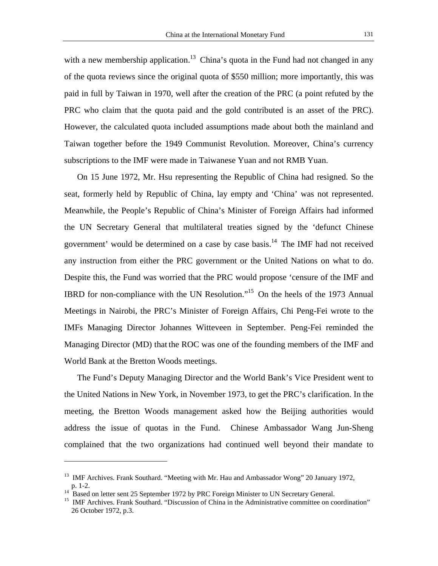with a new membership application.<sup>13</sup> China's quota in the Fund had not changed in any of the quota reviews since the original quota of \$550 million; more importantly, this was paid in full by Taiwan in 1970, well after the creation of the PRC (a point refuted by the PRC who claim that the quota paid and the gold contributed is an asset of the PRC). However, the calculated quota included assumptions made about both the mainland and Taiwan together before the 1949 Communist Revolution. Moreover, China's currency subscriptions to the IMF were made in Taiwanese Yuan and not RMB Yuan.

On 15 June 1972, Mr. Hsu representing the Republic of China had resigned. So the seat, formerly held by Republic of China, lay empty and 'China' was not represented. Meanwhile, the People's Republic of China's Minister of Foreign Affairs had informed the UN Secretary General that multilateral treaties signed by the 'defunct Chinese government' would be determined on a case by case basis.14 The IMF had not received any instruction from either the PRC government or the United Nations on what to do. Despite this, the Fund was worried that the PRC would propose 'censure of the IMF and IBRD for non-compliance with the UN Resolution."15 On the heels of the 1973 Annual Meetings in Nairobi, the PRC's Minister of Foreign Affairs, Chi Peng-Fei wrote to the IMFs Managing Director Johannes Witteveen in September. Peng-Fei reminded the Managing Director (MD) that the ROC was one of the founding members of the IMF and World Bank at the Bretton Woods meetings.

The Fund's Deputy Managing Director and the World Bank's Vice President went to the United Nations in New York, in November 1973, to get the PRC's clarification. In the meeting, the Bretton Woods management asked how the Beijing authorities would address the issue of quotas in the Fund. Chinese Ambassador Wang Jun-Sheng complained that the two organizations had continued well beyond their mandate to

<sup>&</sup>lt;sup>13</sup> IMF Archives. Frank Southard. "Meeting with Mr. Hau and Ambassador Wong" 20 January 1972, p. 1-2.<br><sup>14</sup> Based on letter sent 25 September 1972 by PRC Foreign Minister to UN Secretary General.

<sup>&</sup>lt;sup>15</sup> IMF Archives. Frank Southard. "Discussion of China in the Administrative committee on coordination" 26 October 1972, p.3.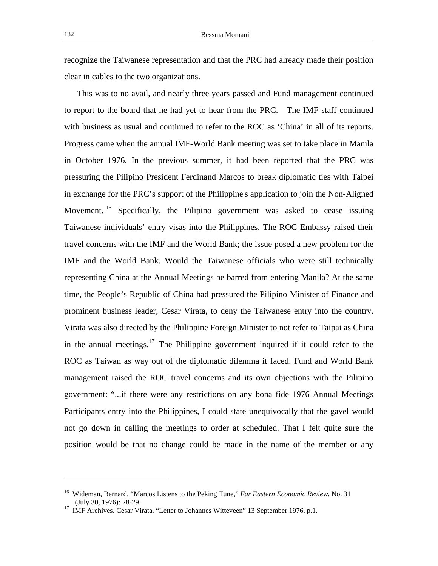recognize the Taiwanese representation and that the PRC had already made their position clear in cables to the two organizations.

This was to no avail, and nearly three years passed and Fund management continued to report to the board that he had yet to hear from the PRC. The IMF staff continued with business as usual and continued to refer to the ROC as 'China' in all of its reports. Progress came when the annual IMF-World Bank meeting was set to take place in Manila in October 1976. In the previous summer, it had been reported that the PRC was pressuring the Pilipino President Ferdinand Marcos to break diplomatic ties with Taipei in exchange for the PRC's support of the Philippine's application to join the Non-Aligned Movement.<sup>16</sup> Specifically, the Pilipino government was asked to cease issuing Taiwanese individuals' entry visas into the Philippines. The ROC Embassy raised their travel concerns with the IMF and the World Bank; the issue posed a new problem for the IMF and the World Bank. Would the Taiwanese officials who were still technically representing China at the Annual Meetings be barred from entering Manila? At the same time, the People's Republic of China had pressured the Pilipino Minister of Finance and prominent business leader, Cesar Virata, to deny the Taiwanese entry into the country. Virata was also directed by the Philippine Foreign Minister to not refer to Taipai as China in the annual meetings.<sup>17</sup> The Philippine government inquired if it could refer to the ROC as Taiwan as way out of the diplomatic dilemma it faced. Fund and World Bank management raised the ROC travel concerns and its own objections with the Pilipino government: "...if there were any restrictions on any bona fide 1976 Annual Meetings Participants entry into the Philippines, I could state unequivocally that the gavel would not go down in calling the meetings to order at scheduled. That I felt quite sure the position would be that no change could be made in the name of the member or any

<sup>16</sup> Wideman, Bernard. "Marcos Listens to the Peking Tune," *Far Eastern Economic Review*. No. 31 (July 30, 1976): 28-29.

<sup>&</sup>lt;sup>17</sup> IMF Archives. Cesar Virata. "Letter to Johannes Witteveen" 13 September 1976. p.1.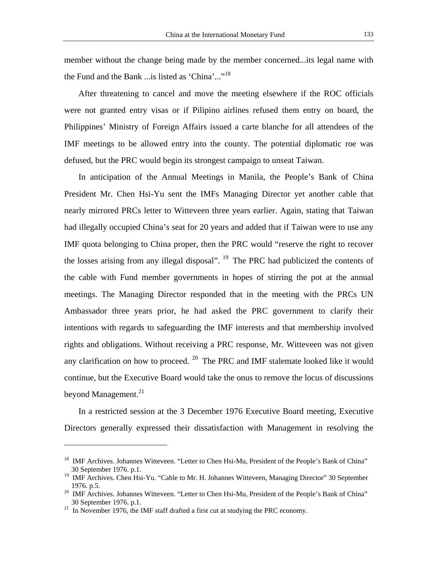member without the change being made by the member concerned...its legal name with the Fund and the Bank ... is listed as 'China'..."<sup>18</sup>

After threatening to cancel and move the meeting elsewhere if the ROC officials were not granted entry visas or if Pilipino airlines refused them entry on board, the Philippines' Ministry of Foreign Affairs issued a carte blanche for all attendees of the IMF meetings to be allowed entry into the county. The potential diplomatic roe was defused, but the PRC would begin its strongest campaign to unseat Taiwan.

In anticipation of the Annual Meetings in Manila, the People's Bank of China President Mr. Chen Hsi-Yu sent the IMFs Managing Director yet another cable that nearly mirrored PRCs letter to Witteveen three years earlier. Again, stating that Taiwan had illegally occupied China's seat for 20 years and added that if Taiwan were to use any IMF quota belonging to China proper, then the PRC would "reserve the right to recover the losses arising from any illegal disposal". <sup>19</sup> The PRC had publicized the contents of the cable with Fund member governments in hopes of stirring the pot at the annual meetings. The Managing Director responded that in the meeting with the PRCs UN Ambassador three years prior, he had asked the PRC government to clarify their intentions with regards to safeguarding the IMF interests and that membership involved rights and obligations. Without receiving a PRC response, Mr. Witteveen was not given any clarification on how to proceed. <sup>20</sup> The PRC and IMF stalemate looked like it would continue, but the Executive Board would take the onus to remove the locus of discussions beyond Management. $2<sup>1</sup>$ 

In a restricted session at the 3 December 1976 Executive Board meeting, Executive Directors generally expressed their dissatisfaction with Management in resolving the

<sup>&</sup>lt;sup>18</sup> IMF Archives. Johannes Witteveen. "Letter to Chen Hsi-Mu, President of the People's Bank of China" 30 September 1976. p.1.

<sup>&</sup>lt;sup>19</sup> IMF Archives. Chen Hsi-Yu. "Cable to Mr. H. Johannes Witteveen, Managing Director" 30 September

<sup>1976.</sup> p.5. 20 IMF Archives. Johannes Witteveen. "Letter to Chen Hsi-Mu, President of the People's Bank of China" 30 September 1976. p.1. 21 In November 1976, the IMF staff drafted a first cut at studying the PRC economy.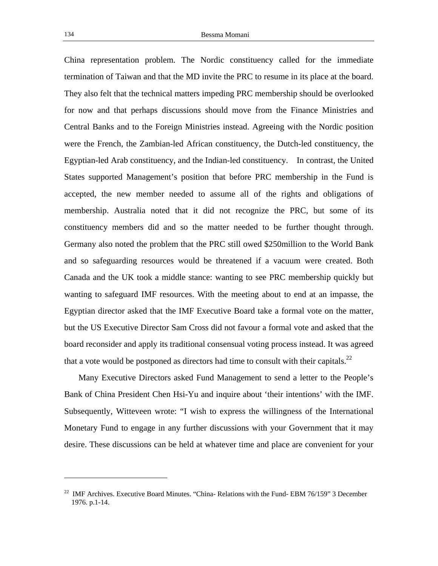China representation problem. The Nordic constituency called for the immediate termination of Taiwan and that the MD invite the PRC to resume in its place at the board. They also felt that the technical matters impeding PRC membership should be overlooked for now and that perhaps discussions should move from the Finance Ministries and Central Banks and to the Foreign Ministries instead. Agreeing with the Nordic position were the French, the Zambian-led African constituency, the Dutch-led constituency, the Egyptian-led Arab constituency, and the Indian-led constituency. In contrast, the United States supported Management's position that before PRC membership in the Fund is accepted, the new member needed to assume all of the rights and obligations of membership. Australia noted that it did not recognize the PRC, but some of its constituency members did and so the matter needed to be further thought through. Germany also noted the problem that the PRC still owed \$250million to the World Bank and so safeguarding resources would be threatened if a vacuum were created. Both Canada and the UK took a middle stance: wanting to see PRC membership quickly but wanting to safeguard IMF resources. With the meeting about to end at an impasse, the Egyptian director asked that the IMF Executive Board take a formal vote on the matter, but the US Executive Director Sam Cross did not favour a formal vote and asked that the board reconsider and apply its traditional consensual voting process instead. It was agreed that a vote would be postponed as directors had time to consult with their capitals.<sup>22</sup>

Many Executive Directors asked Fund Management to send a letter to the People's Bank of China President Chen Hsi-Yu and inquire about 'their intentions' with the IMF. Subsequently, Witteveen wrote: "I wish to express the willingness of the International Monetary Fund to engage in any further discussions with your Government that it may desire. These discussions can be held at whatever time and place are convenient for your

<sup>&</sup>lt;sup>22</sup> IMF Archives. Executive Board Minutes. "China- Relations with the Fund- EBM 76/159" 3 December 1976. p.1-14.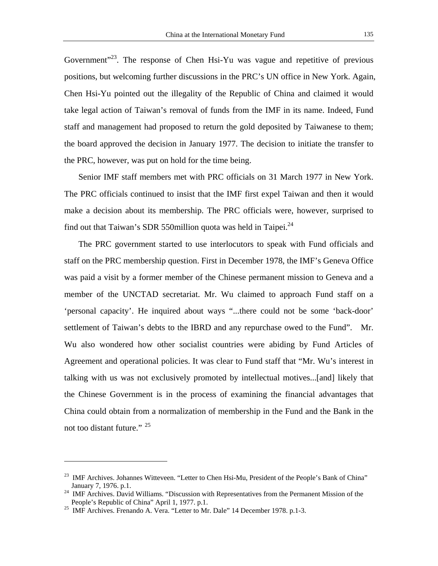Government<sup> $23$ </sup>. The response of Chen Hsi-Yu was vague and repetitive of previous positions, but welcoming further discussions in the PRC's UN office in New York. Again, Chen Hsi-Yu pointed out the illegality of the Republic of China and claimed it would take legal action of Taiwan's removal of funds from the IMF in its name. Indeed, Fund staff and management had proposed to return the gold deposited by Taiwanese to them; the board approved the decision in January 1977. The decision to initiate the transfer to the PRC, however, was put on hold for the time being.

Senior IMF staff members met with PRC officials on 31 March 1977 in New York. The PRC officials continued to insist that the IMF first expel Taiwan and then it would make a decision about its membership. The PRC officials were, however, surprised to find out that Taiwan's SDR 550million quota was held in Taipei. $^{24}$ 

The PRC government started to use interlocutors to speak with Fund officials and staff on the PRC membership question. First in December 1978, the IMF's Geneva Office was paid a visit by a former member of the Chinese permanent mission to Geneva and a member of the UNCTAD secretariat. Mr. Wu claimed to approach Fund staff on a 'personal capacity'. He inquired about ways "...there could not be some 'back-door' settlement of Taiwan's debts to the IBRD and any repurchase owed to the Fund". Mr. Wu also wondered how other socialist countries were abiding by Fund Articles of Agreement and operational policies. It was clear to Fund staff that "Mr. Wu's interest in talking with us was not exclusively promoted by intellectual motives...[and] likely that the Chinese Government is in the process of examining the financial advantages that China could obtain from a normalization of membership in the Fund and the Bank in the not too distant future." <sup>25</sup>

<sup>&</sup>lt;sup>23</sup> IMF Archives. Johannes Witteveen. "Letter to Chen Hsi-Mu, President of the People's Bank of China"

January 7, 1976. p.1. 24 IMF Archives. David Williams. "Discussion with Representatives from the Permanent Mission of the People's Republic of China" April 1, 1977. p.1. 25 IMF Archives. Frenando A. Vera. "Letter to Mr. Dale" 14 December 1978. p.1-3.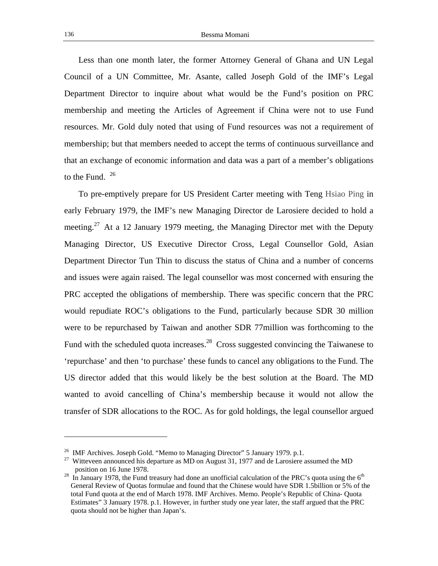Less than one month later, the former Attorney General of Ghana and UN Legal Council of a UN Committee, Mr. Asante, called Joseph Gold of the IMF's Legal Department Director to inquire about what would be the Fund's position on PRC membership and meeting the Articles of Agreement if China were not to use Fund resources. Mr. Gold duly noted that using of Fund resources was not a requirement of membership; but that members needed to accept the terms of continuous surveillance and that an exchange of economic information and data was a part of a member's obligations to the Fund.  $^{26}$ 

To pre-emptively prepare for US President Carter meeting with Teng Hsiao Ping in early February 1979, the IMF's new Managing Director de Larosiere decided to hold a meeting.<sup>27</sup> At a 12 January 1979 meeting, the Managing Director met with the Deputy Managing Director, US Executive Director Cross, Legal Counsellor Gold, Asian Department Director Tun Thin to discuss the status of China and a number of concerns and issues were again raised. The legal counsellor was most concerned with ensuring the PRC accepted the obligations of membership. There was specific concern that the PRC would repudiate ROC's obligations to the Fund, particularly because SDR 30 million were to be repurchased by Taiwan and another SDR 77million was forthcoming to the Fund with the scheduled quota increases.<sup>28</sup> Cross suggested convincing the Taiwanese to 'repurchase' and then 'to purchase' these funds to cancel any obligations to the Fund. The US director added that this would likely be the best solution at the Board. The MD wanted to avoid cancelling of China's membership because it would not allow the transfer of SDR allocations to the ROC. As for gold holdings, the legal counsellor argued

<sup>&</sup>lt;sup>26</sup> IMF Archives. Joseph Gold. "Memo to Managing Director" 5 January 1979. p.1.

<sup>&</sup>lt;sup>27</sup> Witteveen announced his departure as MD on August 31, 1977 and de Larosiere assumed the MD

position on 16 June 1978.<br><sup>28</sup> In January 1978, the Fund treasury had done an unofficial calculation of the PRC's quota using the  $6<sup>th</sup>$ General Review of Quotas formulae and found that the Chinese would have SDR 1.5billion or 5% of the total Fund quota at the end of March 1978. IMF Archives. Memo. People's Republic of China- Quota Estimates" 3 January 1978. p.1. However, in further study one year later, the staff argued that the PRC quota should not be higher than Japan's.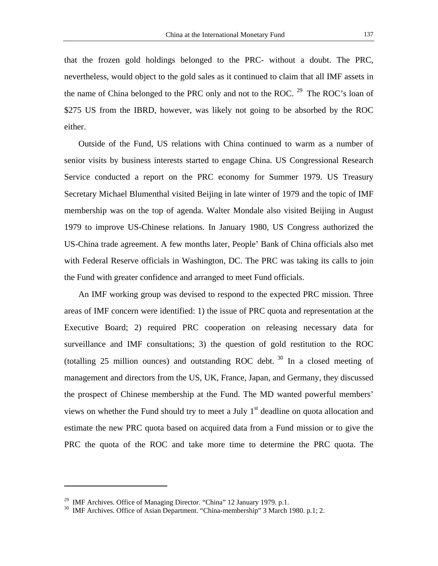nevertheless, would object to the gold sales as it continued to claim that all IMF assets in the name of China belonged to the PRC only and not to the ROC.<sup>29</sup> The ROC's loan of \$275 US from the IBRD, however, was likely not going to be absorbed by the ROC either.

Outside of the Fund, US relations with China continued to warm as a number of senior visits by business interests started to engage China. US Congressional Research Service conducted a report on the PRC economy for Summer 1979. US Treasury Secretary Michael Blumenthal visited Beijing in late winter of 1979 and the topic of IMF membership was on the top of agenda. Walter Mondale also visited Beijing in August 1979 to improve US-Chinese relations. In January 1980, US Congress authorized the US-China trade agreement. A few months later, People' Bank of China officials also met with Federal Reserve officials in Washington, DC. The PRC was taking its calls to join the Fund with greater confidence and arranged to meet Fund officials.

An IMF working group was devised to respond to the expected PRC mission. Three areas of IMF concern were identified: 1) the issue of PRC quota and representation at the Executive Board; 2) required PRC cooperation on releasing necessary data for surveillance and IMF consultations; 3) the question of gold restitution to the ROC (totalling 25 million ounces) and outstanding ROC debt.  $30$  In a closed meeting of management and directors from the US, UK, France, Japan, and Germany, they discussed the prospect of Chinese membership at the Fund. The MD wanted powerful members' views on whether the Fund should try to meet a July  $1<sup>st</sup>$  deadline on quota allocation and estimate the new PRC quota based on acquired data from a Fund mission or to give the PRC the quota of the ROC and take more time to determine the PRC quota. The

<sup>&</sup>lt;sup>29</sup> IMF Archives. Office of Managing Director. "China" 12 January 1979. p.1.<br><sup>30</sup> IMF Archives. Office of Asian Department. "China-membership" 3 March 1980. p.1; 2.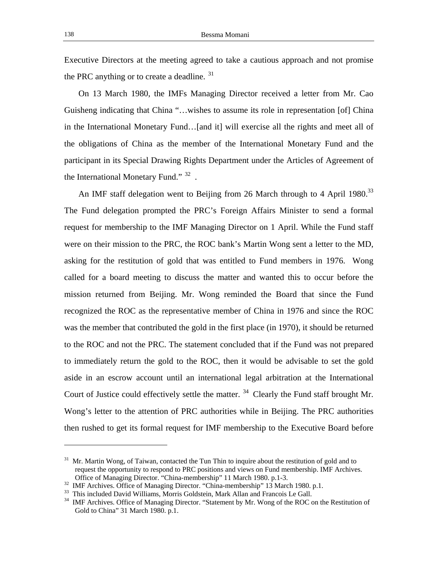Executive Directors at the meeting agreed to take a cautious approach and not promise the PRC anything or to create a deadline.  $31$ 

On 13 March 1980, the IMFs Managing Director received a letter from Mr. Cao Guisheng indicating that China "…wishes to assume its role in representation [of] China in the International Monetary Fund…[and it] will exercise all the rights and meet all of the obligations of China as the member of the International Monetary Fund and the participant in its Special Drawing Rights Department under the Articles of Agreement of the International Monetary Fund." <sup>32</sup>.

An IMF staff delegation went to Beijing from 26 March through to 4 April 1980.<sup>33</sup> The Fund delegation prompted the PRC's Foreign Affairs Minister to send a formal request for membership to the IMF Managing Director on 1 April. While the Fund staff were on their mission to the PRC, the ROC bank's Martin Wong sent a letter to the MD, asking for the restitution of gold that was entitled to Fund members in 1976. Wong called for a board meeting to discuss the matter and wanted this to occur before the mission returned from Beijing. Mr. Wong reminded the Board that since the Fund recognized the ROC as the representative member of China in 1976 and since the ROC was the member that contributed the gold in the first place (in 1970), it should be returned to the ROC and not the PRC. The statement concluded that if the Fund was not prepared to immediately return the gold to the ROC, then it would be advisable to set the gold aside in an escrow account until an international legal arbitration at the International Court of Justice could effectively settle the matter.<sup>34</sup> Clearly the Fund staff brought Mr. Wong's letter to the attention of PRC authorities while in Beijing. The PRC authorities then rushed to get its formal request for IMF membership to the Executive Board before

<sup>&</sup>lt;sup>31</sup> Mr. Martin Wong, of Taiwan, contacted the Tun Thin to inquire about the restitution of gold and to request the opportunity to respond to PRC positions and views on Fund membership. IMF Archives.

Office of Managing Director. "China-membership" 11 March 1980. p.1-3.<br><sup>32</sup> IMF Archives. Office of Managing Director. "China-membership" 13 March 1980. p.1.<br><sup>33</sup> This included David Williams, Morris Goldstein, Mark Allan a

<sup>&</sup>lt;sup>34</sup> IMF Archives. Office of Managing Director. "Statement by Mr. Wong of the ROC on the Restitution of Gold to China" 31 March 1980. p.1.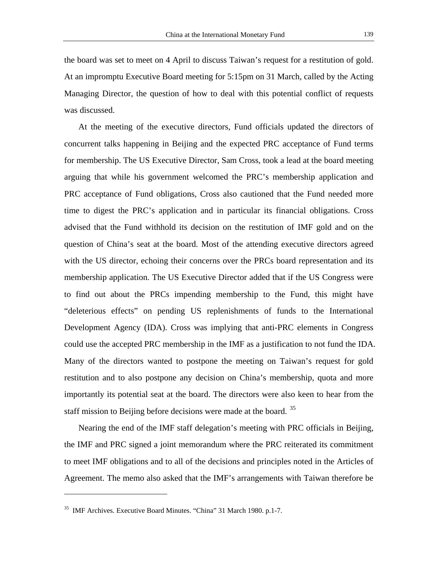the board was set to meet on 4 April to discuss Taiwan's request for a restitution of gold. At an impromptu Executive Board meeting for 5:15pm on 31 March, called by the Acting Managing Director, the question of how to deal with this potential conflict of requests

was discussed.

At the meeting of the executive directors, Fund officials updated the directors of concurrent talks happening in Beijing and the expected PRC acceptance of Fund terms for membership. The US Executive Director, Sam Cross, took a lead at the board meeting arguing that while his government welcomed the PRC's membership application and PRC acceptance of Fund obligations, Cross also cautioned that the Fund needed more time to digest the PRC's application and in particular its financial obligations. Cross advised that the Fund withhold its decision on the restitution of IMF gold and on the question of China's seat at the board. Most of the attending executive directors agreed with the US director, echoing their concerns over the PRCs board representation and its membership application. The US Executive Director added that if the US Congress were to find out about the PRCs impending membership to the Fund, this might have "deleterious effects" on pending US replenishments of funds to the International Development Agency (IDA). Cross was implying that anti-PRC elements in Congress could use the accepted PRC membership in the IMF as a justification to not fund the IDA. Many of the directors wanted to postpone the meeting on Taiwan's request for gold restitution and to also postpone any decision on China's membership, quota and more importantly its potential seat at the board. The directors were also keen to hear from the staff mission to Beijing before decisions were made at the board.<sup>35</sup>

Nearing the end of the IMF staff delegation's meeting with PRC officials in Beijing, the IMF and PRC signed a joint memorandum where the PRC reiterated its commitment to meet IMF obligations and to all of the decisions and principles noted in the Articles of Agreement. The memo also asked that the IMF's arrangements with Taiwan therefore be

<sup>&</sup>lt;sup>35</sup> IMF Archives. Executive Board Minutes. "China" 31 March 1980. p.1-7.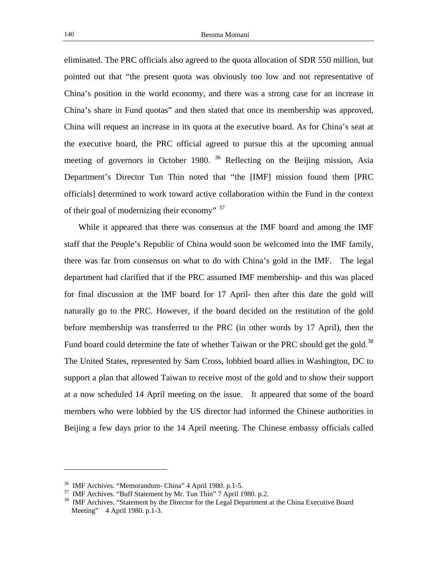eliminated. The PRC officials also agreed to the quota allocation of SDR 550 million, but pointed out that "the present quota was obviously too low and not representative of China's position in the world economy, and there was a strong case for an increase in China's share in Fund quotas" and then stated that once its membership was approved, China will request an increase in its quota at the executive board. As for China's seat at the executive board, the PRC official agreed to pursue this at the upcoming annual meeting of governors in October 1980.  $36$  Reflecting on the Beijing mission, Asia Department's Director Tun Thin noted that "the [IMF] mission found them [PRC officials] determined to work toward active collaboration within the Fund in the context of their goal of modernizing their economy" <sup>37</sup>

While it appeared that there was consensus at the IMF board and among the IMF staff that the People's Republic of China would soon be welcomed into the IMF family, there was far from consensus on what to do with China's gold in the IMF. The legal department had clarified that if the PRC assumed IMF membership- and this was placed for final discussion at the IMF board for 17 April- then after this date the gold will naturally go to the PRC. However, if the board decided on the restitution of the gold before membership was transferred to the PRC (in other words by 17 April), then the Fund board could determine the fate of whether Taiwan or the PRC should get the gold.<sup>38</sup> The United States, represented by Sam Cross, lobbied board allies in Washington, DC to support a plan that allowed Taiwan to receive most of the gold and to show their support at a now scheduled 14 April meeting on the issue. It appeared that some of the board members who were lobbied by the US director had informed the Chinese authorities in Beijing a few days prior to the 14 April meeting. The Chinese embassy officials called

<sup>&</sup>lt;sup>36</sup> IMF Archives. "Memorandum- China" 4 April 1980. p.1-5.<br><sup>37</sup> IMF Archives. "Buff Statement by Mr. Tun Thin" 7 April 1980. p.2.<br><sup>38</sup> IMF Archives. "Statement by the Director for the Legal Department at the China Execut Meeting" 4 April 1980. p.1-3.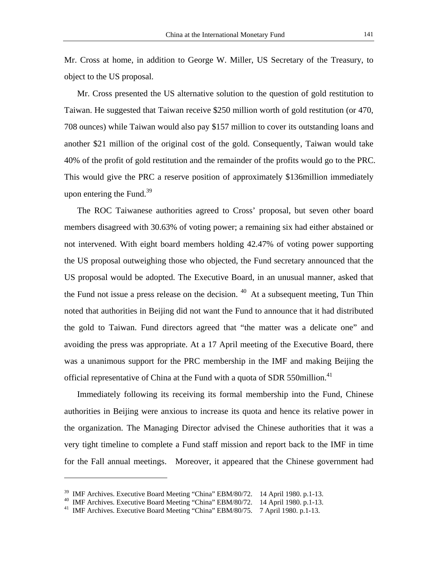Mr. Cross at home, in addition to George W. Miller, US Secretary of the Treasury, to object to the US proposal.

Mr. Cross presented the US alternative solution to the question of gold restitution to Taiwan. He suggested that Taiwan receive \$250 million worth of gold restitution (or 470, 708 ounces) while Taiwan would also pay \$157 million to cover its outstanding loans and another \$21 million of the original cost of the gold. Consequently, Taiwan would take 40% of the profit of gold restitution and the remainder of the profits would go to the PRC. This would give the PRC a reserve position of approximately \$136million immediately upon entering the Fund.<sup>39</sup>

The ROC Taiwanese authorities agreed to Cross' proposal, but seven other board members disagreed with 30.63% of voting power; a remaining six had either abstained or not intervened. With eight board members holding 42.47% of voting power supporting the US proposal outweighing those who objected, the Fund secretary announced that the US proposal would be adopted. The Executive Board, in an unusual manner, asked that the Fund not issue a press release on the decision.  $40$  At a subsequent meeting, Tun Thin noted that authorities in Beijing did not want the Fund to announce that it had distributed the gold to Taiwan. Fund directors agreed that "the matter was a delicate one" and avoiding the press was appropriate. At a 17 April meeting of the Executive Board, there was a unanimous support for the PRC membership in the IMF and making Beijing the official representative of China at the Fund with a quota of SDR 550million.<sup>41</sup>

Immediately following its receiving its formal membership into the Fund, Chinese authorities in Beijing were anxious to increase its quota and hence its relative power in the organization. The Managing Director advised the Chinese authorities that it was a very tight timeline to complete a Fund staff mission and report back to the IMF in time for the Fall annual meetings. Moreover, it appeared that the Chinese government had

<sup>&</sup>lt;sup>39</sup> IMF Archives. Executive Board Meeting "China" EBM/80/72. 14 April 1980. p.1-13.<br><sup>40</sup> IMF Archives. Executive Board Meeting "China" EBM/80/72. 14 April 1980. p.1-13.<br><sup>41</sup> IMF Archives. Executive Board Meeting "China" E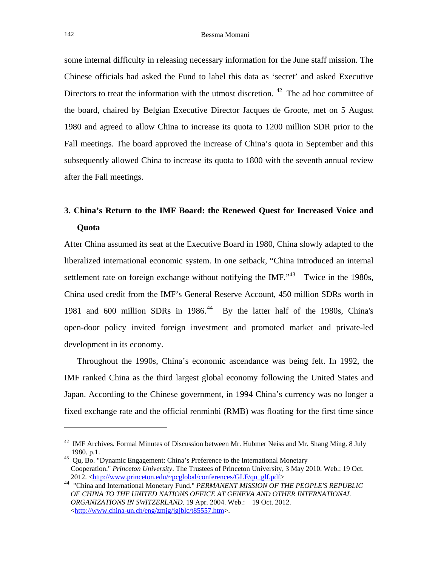some internal difficulty in releasing necessary information for the June staff mission. The Chinese officials had asked the Fund to label this data as 'secret' and asked Executive Directors to treat the information with the utmost discretion.  $42$  The ad hoc committee of the board, chaired by Belgian Executive Director Jacques de Groote, met on 5 August 1980 and agreed to allow China to increase its quota to 1200 million SDR prior to the Fall meetings. The board approved the increase of China's quota in September and this subsequently allowed China to increase its quota to 1800 with the seventh annual review after the Fall meetings.

# **3. China's Return to the IMF Board: the Renewed Quest for Increased Voice and Quota**

After China assumed its seat at the Executive Board in 1980, China slowly adapted to the liberalized international economic system. In one setback, "China introduced an internal settlement rate on foreign exchange without notifying the IMF. $143$  Twice in the 1980s, China used credit from the IMF's General Reserve Account, 450 million SDRs worth in 1981 and 600 million SDRs in 1986.<sup>44</sup> By the latter half of the 1980s, China's open-door policy invited foreign investment and promoted market and private-led development in its economy.

Throughout the 1990s, China's economic ascendance was being felt. In 1992, the IMF ranked China as the third largest global economy following the United States and Japan. According to the Chinese government, in 1994 China's currency was no longer a fixed exchange rate and the official renminbi (RMB) was floating for the first time since

 $42$  IMF Archives. Formal Minutes of Discussion between Mr. Hubmer Neiss and Mr. Shang Ming. 8 July 1980. p.1.<br><sup>43</sup> Qu, Bo. "Dynamic Engagement: China's Preference to the International Monetary

Cooperation." *Princeton University*. The Trustees of Princeton University, 3 May 2010. Web.: 19 Oct. 2012. <http://www.princeton.edu/~pcglobal/conferences/GLF/qu glf.pdf>

<sup>&</sup>lt;sup>44</sup> "China and International Monetary Fund." *PERMANENT MISSION OF THE PEOPLE'S REPUBLIC OF CHINA TO THE UNITED NATIONS OFFICE AT GENEVA AND OTHER INTERNATIONAL ORGANIZATIONS IN SWITZERLAND*. 19 Apr. 2004. Web.: 19 Oct. 2012. <http://www.china-un.ch/eng/zmjg/jgjblc/t85557.htm>.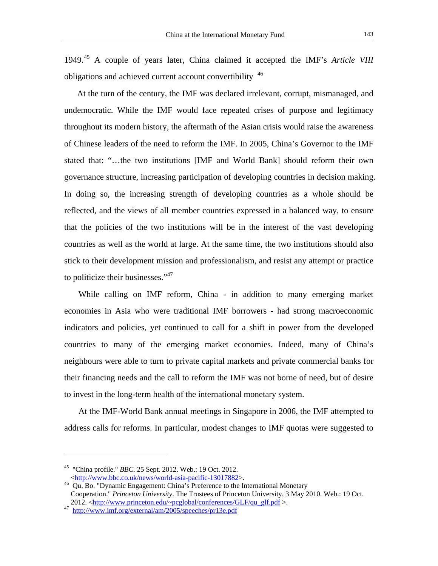1949.45 A couple of years later, China claimed it accepted the IMF's *Article VIII* obligations and achieved current account convertibility <sup>46</sup>

At the turn of the century, the IMF was declared irrelevant, corrupt, mismanaged, and undemocratic. While the IMF would face repeated crises of purpose and legitimacy throughout its modern history, the aftermath of the Asian crisis would raise the awareness of Chinese leaders of the need to reform the IMF. In 2005, China's Governor to the IMF stated that: "…the two institutions [IMF and World Bank] should reform their own governance structure, increasing participation of developing countries in decision making. In doing so, the increasing strength of developing countries as a whole should be reflected, and the views of all member countries expressed in a balanced way, to ensure that the policies of the two institutions will be in the interest of the vast developing countries as well as the world at large. At the same time, the two institutions should also stick to their development mission and professionalism, and resist any attempt or practice to politicize their businesses."<sup>47</sup>

While calling on IMF reform, China - in addition to many emerging market economies in Asia who were traditional IMF borrowers - had strong macroeconomic indicators and policies, yet continued to call for a shift in power from the developed countries to many of the emerging market economies. Indeed, many of China's neighbours were able to turn to private capital markets and private commercial banks for their financing needs and the call to reform the IMF was not borne of need, but of desire to invest in the long-term health of the international monetary system.

At the IMF-World Bank annual meetings in Singapore in 2006, the IMF attempted to address calls for reforms. In particular, modest changes to IMF quotas were suggested to

<sup>45 &</sup>quot;China profile." *BBC*. 25 Sept. 2012. Web.: 19 Oct. 2012.

<sup>&</sup>lt;http://www.bbc.co.uk/news/world-asia-pacific-13017882>. 46 Qu, Bo. "Dynamic Engagement: China's Preference to the International Monetary Cooperation." *Princeton University*. The Trustees of Princeton University, 3 May 2010. Web.: 19 Oct. 2012. <http://www.princeton.edu/~pcglobal/conferences/GLF/qu\_glf.pdf >.<br><sup>47</sup> http://www.imf.org/external/am/2005/speeches/pr13e.pdf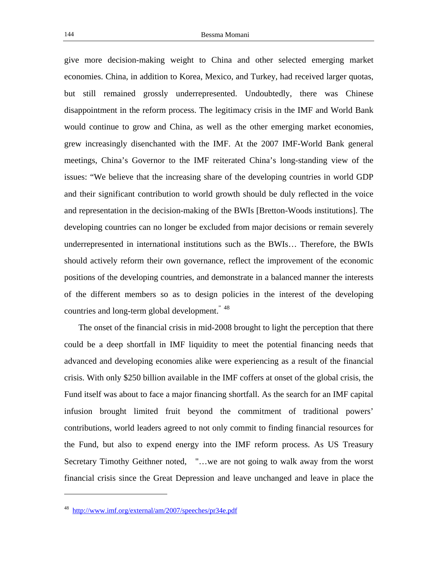give more decision-making weight to China and other selected emerging market economies. China, in addition to Korea, Mexico, and Turkey, had received larger quotas, but still remained grossly underrepresented. Undoubtedly, there was Chinese disappointment in the reform process. The legitimacy crisis in the IMF and World Bank would continue to grow and China, as well as the other emerging market economies, grew increasingly disenchanted with the IMF. At the 2007 IMF-World Bank general meetings, China's Governor to the IMF reiterated China's long-standing view of the issues: "We believe that the increasing share of the developing countries in world GDP and their significant contribution to world growth should be duly reflected in the voice and representation in the decision-making of the BWIs [Bretton-Woods institutions]. The developing countries can no longer be excluded from major decisions or remain severely underrepresented in international institutions such as the BWIs… Therefore, the BWIs should actively reform their own governance, reflect the improvement of the economic positions of the developing countries, and demonstrate in a balanced manner the interests of the different members so as to design policies in the interest of the developing countries and long-term global development." 48

The onset of the financial crisis in mid-2008 brought to light the perception that there could be a deep shortfall in IMF liquidity to meet the potential financing needs that advanced and developing economies alike were experiencing as a result of the financial crisis. With only \$250 billion available in the IMF coffers at onset of the global crisis, the Fund itself was about to face a major financing shortfall. As the search for an IMF capital infusion brought limited fruit beyond the commitment of traditional powers' contributions, world leaders agreed to not only commit to finding financial resources for the Fund, but also to expend energy into the IMF reform process. As US Treasury Secretary Timothy Geithner noted, "…we are not going to walk away from the worst financial crisis since the Great Depression and leave unchanged and leave in place the

<sup>48</sup> http://www.imf.org/external/am/2007/speeches/pr34e.pdf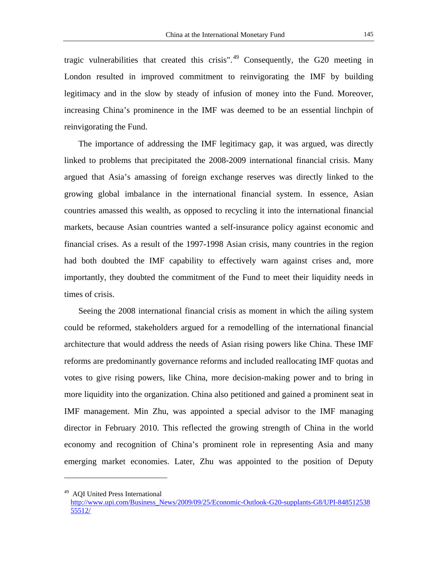tragic vulnerabilities that created this crisis". <sup>49</sup> Consequently, the G20 meeting in London resulted in improved commitment to reinvigorating the IMF by building legitimacy and in the slow by steady of infusion of money into the Fund. Moreover, increasing China's prominence in the IMF was deemed to be an essential linchpin of reinvigorating the Fund.

The importance of addressing the IMF legitimacy gap, it was argued, was directly linked to problems that precipitated the 2008-2009 international financial crisis. Many argued that Asia's amassing of foreign exchange reserves was directly linked to the growing global imbalance in the international financial system. In essence, Asian countries amassed this wealth, as opposed to recycling it into the international financial markets, because Asian countries wanted a self-insurance policy against economic and financial crises. As a result of the 1997-1998 Asian crisis, many countries in the region had both doubted the IMF capability to effectively warn against crises and, more importantly, they doubted the commitment of the Fund to meet their liquidity needs in times of crisis.

Seeing the 2008 international financial crisis as moment in which the ailing system could be reformed, stakeholders argued for a remodelling of the international financial architecture that would address the needs of Asian rising powers like China. These IMF reforms are predominantly governance reforms and included reallocating IMF quotas and votes to give rising powers, like China, more decision-making power and to bring in more liquidity into the organization. China also petitioned and gained a prominent seat in IMF management. Min Zhu, was appointed a special advisor to the IMF managing director in February 2010. This reflected the growing strength of China in the world economy and recognition of China's prominent role in representing Asia and many emerging market economies. Later, Zhu was appointed to the position of Deputy

<sup>49</sup> AQI United Press International

http://www.upi.com/Business\_News/2009/09/25/Economic-Outlook-G20-supplants-G8/UPI-848512538 55512/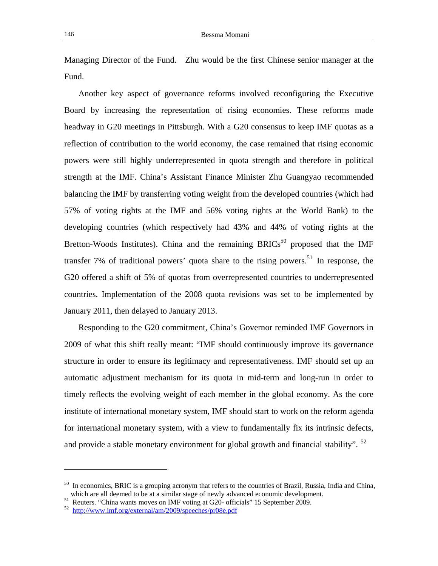Managing Director of the Fund. Zhu would be the first Chinese senior manager at the Fund.

Another key aspect of governance reforms involved reconfiguring the Executive Board by increasing the representation of rising economies. These reforms made headway in G20 meetings in Pittsburgh. With a G20 consensus to keep IMF quotas as a reflection of contribution to the world economy, the case remained that rising economic powers were still highly underrepresented in quota strength and therefore in political strength at the IMF. China's Assistant Finance Minister Zhu Guangyao recommended balancing the IMF by transferring voting weight from the developed countries (which had 57% of voting rights at the IMF and 56% voting rights at the World Bank) to the developing countries (which respectively had 43% and 44% of voting rights at the Bretton-Woods Institutes). China and the remaining BRICs<sup>50</sup> proposed that the IMF transfer 7% of traditional powers' quota share to the rising powers.<sup>51</sup> In response, the G20 offered a shift of 5% of quotas from overrepresented countries to underrepresented countries. Implementation of the 2008 quota revisions was set to be implemented by January 2011, then delayed to January 2013.

Responding to the G20 commitment, China's Governor reminded IMF Governors in 2009 of what this shift really meant: "IMF should continuously improve its governance structure in order to ensure its legitimacy and representativeness. IMF should set up an automatic adjustment mechanism for its quota in mid-term and long-run in order to timely reflects the evolving weight of each member in the global economy. As the core institute of international monetary system, IMF should start to work on the reform agenda for international monetary system, with a view to fundamentally fix its intrinsic defects, and provide a stable monetary environment for global growth and financial stability".  $52$ 

 $50$  In economics, BRIC is a grouping acronym that refers to the countries of Brazil, Russia, India and China, which are all deemed to be at a similar stage of newly advanced economic development.

 $51$  Reuters. "China wants moves on IMF voting at G20- officials" 15 September 2009.

<sup>52</sup> http://www.imf.org/external/am/2009/speeches/pr08e.pdf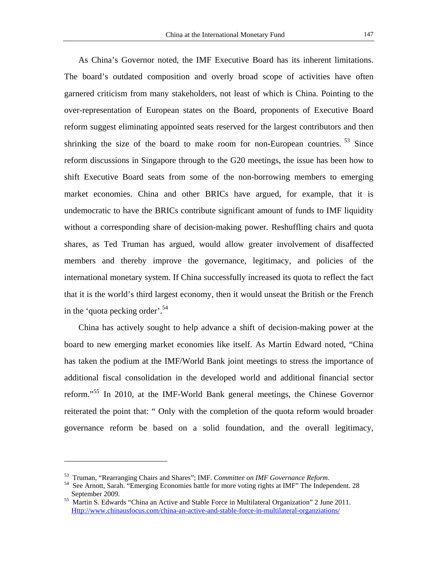As China's Governor noted, the IMF Executive Board has its inherent limitations. The board's outdated composition and overly broad scope of activities have often garnered criticism from many stakeholders, not least of which is China. Pointing to the over-representation of European states on the Board, proponents of Executive Board reform suggest eliminating appointed seats reserved for the largest contributors and then shrinking the size of the board to make room for non-European countries.<sup>53</sup> Since reform discussions in Singapore through to the G20 meetings, the issue has been how to shift Executive Board seats from some of the non-borrowing members to emerging market economies. China and other BRICs have argued, for example, that it is undemocratic to have the BRICs contribute significant amount of funds to IMF liquidity without a corresponding share of decision-making power. Reshuffling chairs and quota shares, as Ted Truman has argued, would allow greater involvement of disaffected members and thereby improve the governance, legitimacy, and policies of the international monetary system. If China successfully increased its quota to reflect the fact that it is the world's third largest economy, then it would unseat the British or the French in the 'quota pecking order'.<sup>54</sup>

China has actively sought to help advance a shift of decision-making power at the board to new emerging market economies like itself. As Martin Edward noted, "China has taken the podium at the IMF/World Bank joint meetings to stress the importance of additional fiscal consolidation in the developed world and additional financial sector reform."55 In 2010, at the IMF-World Bank general meetings, the Chinese Governor reiterated the point that: " Only with the completion of the quota reform would broader governance reform be based on a solid foundation, and the overall legitimacy,

<sup>&</sup>lt;sup>53</sup> Truman, "Rearranging Chairs and Shares"; IMF. *Committee on IMF Governance Reform*.<br><sup>54</sup> See Arnott, Sarah. "Emerging Economies battle for more voting rights at IMF" The Independent. 28 September 2009.<br><sup>55</sup> Martin S. Edwards "China an Active and Stable Force in Multilateral Organization" 2 June 2011.

Http://www.chinausfocus.com/china-an-active-and-stable-force-in-multilateral-organziations/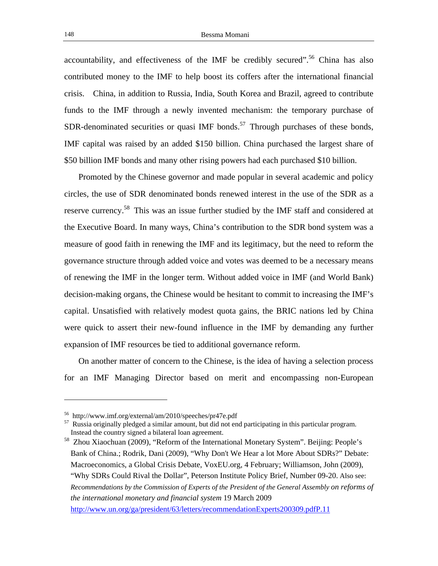accountability, and effectiveness of the IMF be credibly secured".<sup>56</sup> China has also contributed money to the IMF to help boost its coffers after the international financial crisis. China, in addition to Russia, India, South Korea and Brazil, agreed to contribute funds to the IMF through a newly invented mechanism: the temporary purchase of SDR-denominated securities or quasi IMF bonds.<sup>57</sup> Through purchases of these bonds, IMF capital was raised by an added \$150 billion. China purchased the largest share of \$50 billion IMF bonds and many other rising powers had each purchased \$10 billion.

Promoted by the Chinese governor and made popular in several academic and policy circles, the use of SDR denominated bonds renewed interest in the use of the SDR as a reserve currency.<sup>58</sup> This was an issue further studied by the IMF staff and considered at the Executive Board. In many ways, China's contribution to the SDR bond system was a measure of good faith in renewing the IMF and its legitimacy, but the need to reform the governance structure through added voice and votes was deemed to be a necessary means of renewing the IMF in the longer term. Without added voice in IMF (and World Bank) decision-making organs, the Chinese would be hesitant to commit to increasing the IMF's capital. Unsatisfied with relatively modest quota gains, the BRIC nations led by China were quick to assert their new-found influence in the IMF by demanding any further expansion of IMF resources be tied to additional governance reform.

On another matter of concern to the Chinese, is the idea of having a selection process for an IMF Managing Director based on merit and encompassing non-European

<sup>56</sup> http://www.imf.org/external/am/2010/speeches/pr47e.pdf

<sup>&</sup>lt;sup>57</sup> Russia originally pledged a similar amount, but did not end participating in this particular program. Instead the country signed a bilateral loan agreement.

<sup>58</sup> Zhou Xiaochuan (2009), "Reform of the International Monetary System". Beijing: People's Bank of China.; Rodrik, Dani (2009), "Why Don't We Hear a lot More About SDRs?" Debate: Macroeconomics, a Global Crisis Debate, VoxEU.org, 4 February; Williamson, John (2009), "Why SDRs Could Rival the Dollar", Peterson Institute Policy Brief, Number 09-20. Also see: *Recommendations by the Commission of Experts of the President of the General Assembly on reforms of the international monetary and financial system* 19 March 2009 http://www.un.org/ga/president/63/letters/recommendationExperts200309.pdfP.11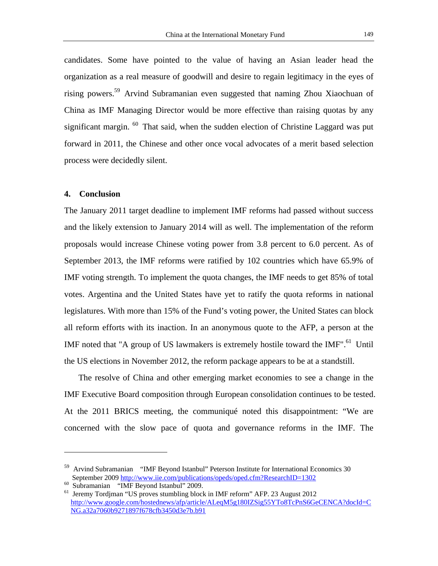candidates. Some have pointed to the value of having an Asian leader head the organization as a real measure of goodwill and desire to regain legitimacy in the eyes of rising powers.59 Arvind Subramanian even suggested that naming Zhou Xiaochuan of China as IMF Managing Director would be more effective than raising quotas by any significant margin.  $60$  That said, when the sudden election of Christine Laggard was put forward in 2011, the Chinese and other once vocal advocates of a merit based selection process were decidedly silent.

#### **4. Conclusion**

The January 2011 target deadline to implement IMF reforms had passed without success and the likely extension to January 2014 will as well. The implementation of the reform proposals would increase Chinese voting power from 3.8 percent to 6.0 percent. As of September 2013, the IMF reforms were ratified by 102 countries which have 65.9% of IMF voting strength. To implement the quota changes, the IMF needs to get 85% of total votes. Argentina and the United States have yet to ratify the quota reforms in national legislatures. With more than 15% of the Fund's voting power, the United States can block all reform efforts with its inaction. In an anonymous quote to the AFP, a person at the IMF noted that "A group of US lawmakers is extremely hostile toward the IMF".<sup>61</sup> Until the US elections in November 2012, the reform package appears to be at a standstill.

The resolve of China and other emerging market economies to see a change in the IMF Executive Board composition through European consolidation continues to be tested. At the 2011 BRICS meeting, the communiqué noted this disappointment: "We are concerned with the slow pace of quota and governance reforms in the IMF. The

<sup>59</sup> Arvind Subramanian "IMF Beyond Istanbul" Peterson Institute for International Economics 30 September 2009 http://www.iie.com/publications/opeds/oped.cfm?ResearchID=1302 Subramanian "IMF Beyond Istanbul" 2009.

<sup>&</sup>lt;sup>61</sup> Jeremy Tordjman "US proves stumbling block in IMF reform" AFP. 23 August 2012 http://www.google.com/hostednews/afp/article/ALeqM5g180IZSig55YTo8TcPnS6GeCENCA?docId=C NG.a32a7060b9271897f678cfb3450d3e7b.b91